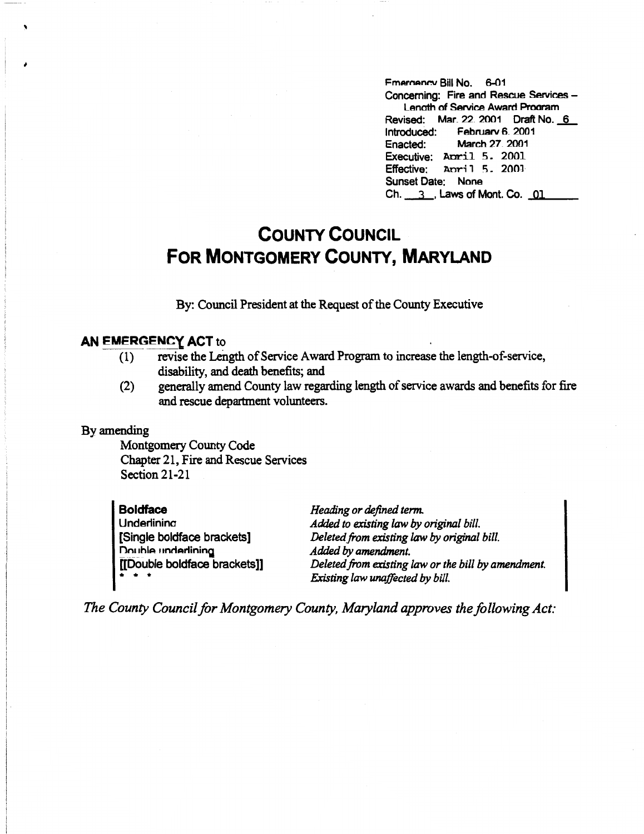Fmernancy Bill No. 6-01 Concerning: Fire and Rescue Services -Lenath of Service Award Pmoram Revised: Mar. 22 2001 Draft No. 6 Introduced: February 6, 2001<br>Enacted: March 27, 2001 March 27, 2001 Executive: Anril 5. 2001 Effective: April 5. 2001 Sunset Date: None Ch. 3, Laws of Mont. Co. 01

## **COUNTY COUNCIL FOR MONTGOMERY COUNTY, MARYLAND**

By: Council President at the Request of the County Executive

## **AN EMERGENCY ACT to**

- ( 1) revise the Length of Service Award Program to increase the length-of-service, disability, and death benefits; and
- (2) generally amend County law regarding length of service awards and benefits for fire and rescue department volunteers.

## By amending

Montgomery County Code Chapter 21, Fire and Rescue Services Section 21-21

| <b>Boldface</b>                                                                   | Heading or defined term.                            |
|-----------------------------------------------------------------------------------|-----------------------------------------------------|
| Underlining                                                                       | Added to existing law by original bill.             |
| [Single boldface brackets]                                                        | Deleted from existing law by original bill.         |
| Double underlining                                                                | Added by amendment.                                 |
| [[Double boldface brackets]]                                                      | Deleted from existing law or the bill by amendment. |
| $\begin{array}{cccccccccccccc} \bullet & \bullet & \bullet & \bullet \end{array}$ | Existing law unaffected by bill.                    |

*The County Council for Montgomery County, Maryland approves the following Act:*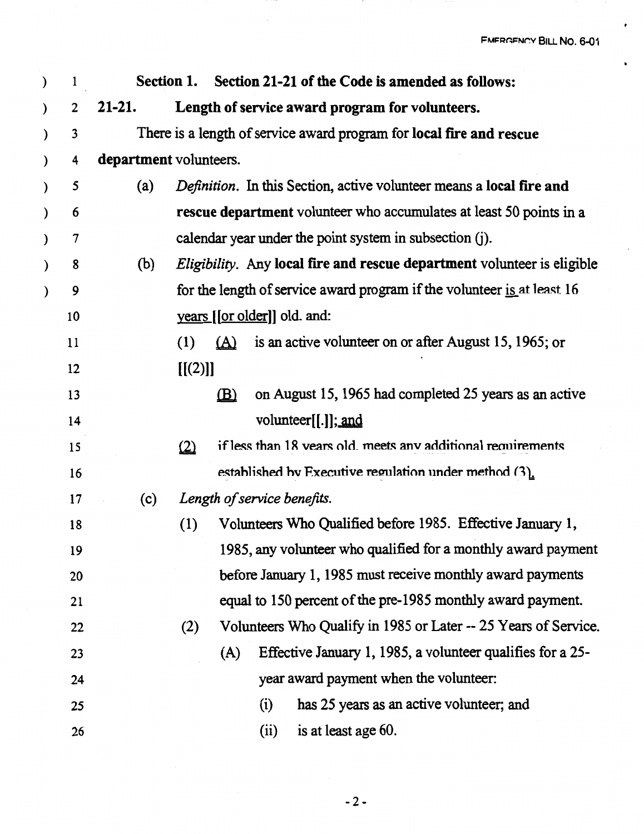FMERGENCY BILL NO. 6-01

 $\bullet$ 

 $\bullet$ 

| ) | $\mathbf{1}$             |                                                                      | Section 1. | Section 21-21 of the Code is amended as follows:                        |  |  |  |  |  |  |  |
|---|--------------------------|----------------------------------------------------------------------|------------|-------------------------------------------------------------------------|--|--|--|--|--|--|--|
| ) | $\overline{2}$           | $21-21.$                                                             |            | Length of service award program for volunteers.                         |  |  |  |  |  |  |  |
| ) | 3                        | There is a length of service award program for local fire and rescue |            |                                                                         |  |  |  |  |  |  |  |
| ) | 4                        | department volunteers.                                               |            |                                                                         |  |  |  |  |  |  |  |
| ) | 5                        | (a)                                                                  |            | Definition. In this Section, active volunteer means a local fire and    |  |  |  |  |  |  |  |
| ) | 6                        |                                                                      |            | rescue department volunteer who accumulates at least 50 points in a     |  |  |  |  |  |  |  |
| ) | $\overline{\mathcal{L}}$ |                                                                      |            | calendar year under the point system in subsection (j).                 |  |  |  |  |  |  |  |
| ) | 8                        | (b)                                                                  |            | Eligibility. Any local fire and rescue department volunteer is eligible |  |  |  |  |  |  |  |
| ) | 9                        |                                                                      |            | for the length of service award program if the volunteer is at least 16 |  |  |  |  |  |  |  |
|   | 10                       |                                                                      |            | years [[or older]] old. and:                                            |  |  |  |  |  |  |  |
|   | 11                       |                                                                      | (1)        | is an active volunteer on or after August 15, 1965; or<br>(A)           |  |  |  |  |  |  |  |
|   | 12                       |                                                                      | [[(2)]]    |                                                                         |  |  |  |  |  |  |  |
|   | 13                       |                                                                      |            | on August 15, 1965 had completed 25 years as an active<br>$\mathbf{B}$  |  |  |  |  |  |  |  |
|   | 14                       |                                                                      |            | volunteer[[.]]; and                                                     |  |  |  |  |  |  |  |
|   | 15                       |                                                                      | (2)        | if less than 18 vears old. meets any additional requirements            |  |  |  |  |  |  |  |
|   | 16                       |                                                                      |            | established by Executive regulation under method (3).                   |  |  |  |  |  |  |  |
|   | 17                       | (c)                                                                  |            | Length of service benefits.                                             |  |  |  |  |  |  |  |
|   | 18                       |                                                                      | (1)        | Volunteers Who Qualified before 1985. Effective January 1,              |  |  |  |  |  |  |  |
|   | 19                       |                                                                      |            | 1985, any volunteer who qualified for a monthly award payment           |  |  |  |  |  |  |  |
|   | 20                       |                                                                      |            | before January 1, 1985 must receive monthly award payments              |  |  |  |  |  |  |  |
|   | 21                       |                                                                      |            | equal to 150 percent of the pre-1985 monthly award payment.             |  |  |  |  |  |  |  |
|   | 22                       |                                                                      | (2)        | Volunteers Who Qualify in 1985 or Later -- 25 Years of Service.         |  |  |  |  |  |  |  |
|   | 23                       |                                                                      |            | Effective January 1, 1985, a volunteer qualifies for a 25-<br>(A)       |  |  |  |  |  |  |  |
|   | 24                       |                                                                      |            | year award payment when the volunteer:                                  |  |  |  |  |  |  |  |
|   | 25                       |                                                                      |            | has 25 years as an active volunteer; and<br>(i)                         |  |  |  |  |  |  |  |
|   | 26                       |                                                                      |            | (ii)<br>is at least age 60.                                             |  |  |  |  |  |  |  |

 $\sim$   $\sim$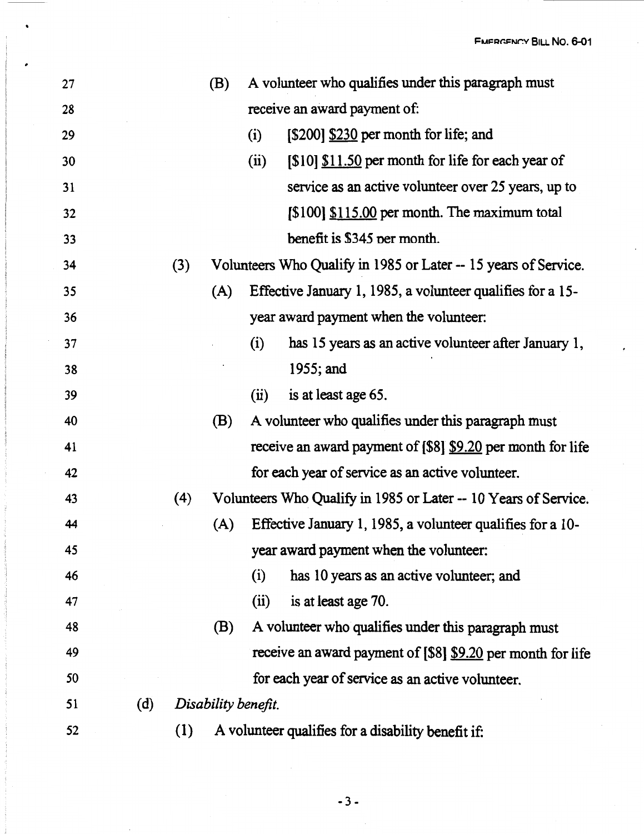| 27 |     |     | (B)                 |      | A volunteer who qualifies under this paragraph must             |
|----|-----|-----|---------------------|------|-----------------------------------------------------------------|
| 28 |     |     |                     |      | receive an award payment of:                                    |
| 29 |     |     |                     | (i)  | [\$200] \$230 per month for life; and                           |
| 30 |     |     |                     | (ii) | [\$10] \$11.50 per month for life for each year of              |
| 31 |     |     |                     |      | service as an active volunteer over 25 years, up to             |
| 32 |     |     |                     |      | $[$100]$ $$115.00$ per month. The maximum total                 |
| 33 |     |     |                     |      | benefit is \$345 per month.                                     |
| 34 |     | (3) |                     |      | Volunteers Who Qualify in 1985 or Later -- 15 years of Service. |
| 35 |     |     | (A)                 |      | Effective January 1, 1985, a volunteer qualifies for a 15-      |
| 36 |     |     |                     |      | year award payment when the volunteer.                          |
| 37 |     |     |                     | (i)  | has 15 years as an active volunteer after January 1,            |
| 38 |     |     |                     |      | 1955; and                                                       |
| 39 |     |     |                     | (ii) | is at least age 65.                                             |
| 40 |     |     | (B)                 |      | A volunteer who qualifies under this paragraph must             |
| 41 |     |     |                     |      | receive an award payment of [\$8] \$9.20 per month for life     |
| 42 |     |     |                     |      | for each year of service as an active volunteer.                |
| 43 |     | (4) |                     |      | Volunteers Who Qualify in 1985 or Later -- 10 Years of Service. |
| 44 |     |     | (A)                 |      | Effective January 1, 1985, a volunteer qualifies for a 10-      |
| 45 |     |     |                     |      | year award payment when the volunteer:                          |
| 46 |     |     |                     | (i)  | has 10 years as an active volunteer; and                        |
| 47 |     |     |                     | (ii) | is at least age 70.                                             |
| 48 |     |     | (B)                 |      | A volunteer who qualifies under this paragraph must             |
| 49 |     |     |                     |      | receive an award payment of [\$8] \$9.20 per month for life     |
| 50 |     |     |                     |      | for each year of service as an active volunteer.                |
| 51 | (d) |     | Disability benefit. |      |                                                                 |
| 52 |     | (1) |                     |      | A volunteer qualifies for a disability benefit if:              |

,

 $\bullet$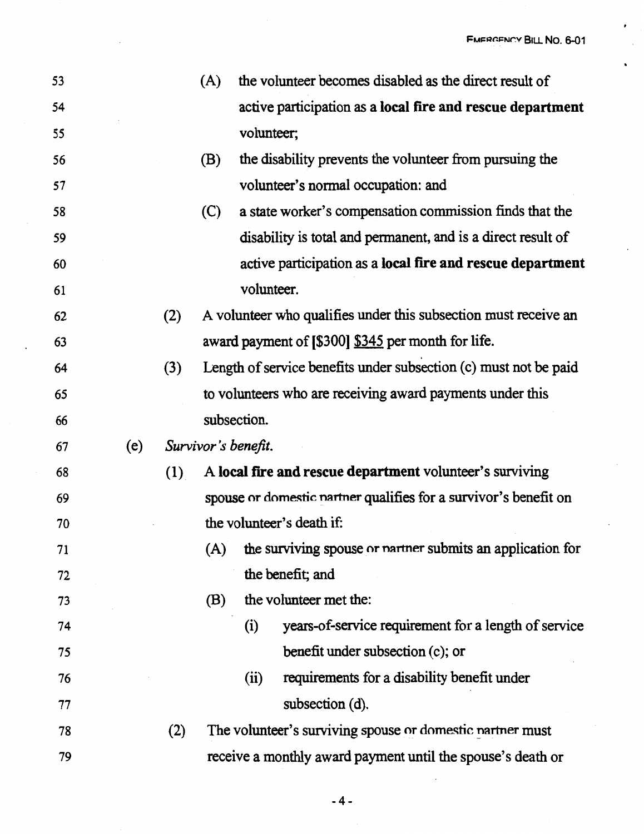$\cdot$ 

 $\ddot{\phantom{0}}$ 

 $\overline{a}$ 

| 53 |     |     | (A) | the volunteer becomes disabled as the direct result of           |
|----|-----|-----|-----|------------------------------------------------------------------|
| 54 |     |     |     | active participation as a local fire and rescue department       |
| 55 |     |     |     | volunteer;                                                       |
| 56 |     |     | (B) | the disability prevents the volunteer from pursuing the          |
| 57 |     |     |     | volunteer's normal occupation: and                               |
| 58 |     |     | (C) | a state worker's compensation commission finds that the          |
| 59 |     |     |     | disability is total and permanent, and is a direct result of     |
| 60 |     |     |     | active participation as a local fire and rescue department       |
| 61 |     |     |     | volunteer.                                                       |
| 62 |     | (2) |     | A volunteer who qualifies under this subsection must receive an  |
| 63 |     |     |     | award payment of [\$300] \$345 per month for life.               |
| 64 |     | (3) |     | Length of service benefits under subsection (c) must not be paid |
| 65 |     |     |     | to volunteers who are receiving award payments under this        |
| 66 |     |     |     | subsection.                                                      |
| 67 | (e) |     |     | Survivor's benefit.                                              |
| 68 |     | (1) |     | A local fire and rescue department volunteer's surviving         |
| 69 |     |     |     | spouse or domestic nartner qualifies for a survivor's benefit on |
|    |     |     |     |                                                                  |
| 70 |     |     |     | the volunteer's death if:                                        |
| 71 |     |     |     | (A) the surviving spouse or nartner submits an application for   |
| 72 |     |     |     | the benefit; and                                                 |
| 73 |     |     | (B) | the volunteer met the:                                           |
| 74 |     |     |     | years-of-service requirement for a length of service<br>(i)      |
| 75 |     |     |     | benefit under subsection (c); or                                 |
| 76 |     |     |     | requirements for a disability benefit under<br>(ii)              |
| 77 |     |     |     | subsection (d).                                                  |
| 78 |     | (2) |     | The volunteer's surviving spouse or domestic nartner must        |

 $\overline{a}$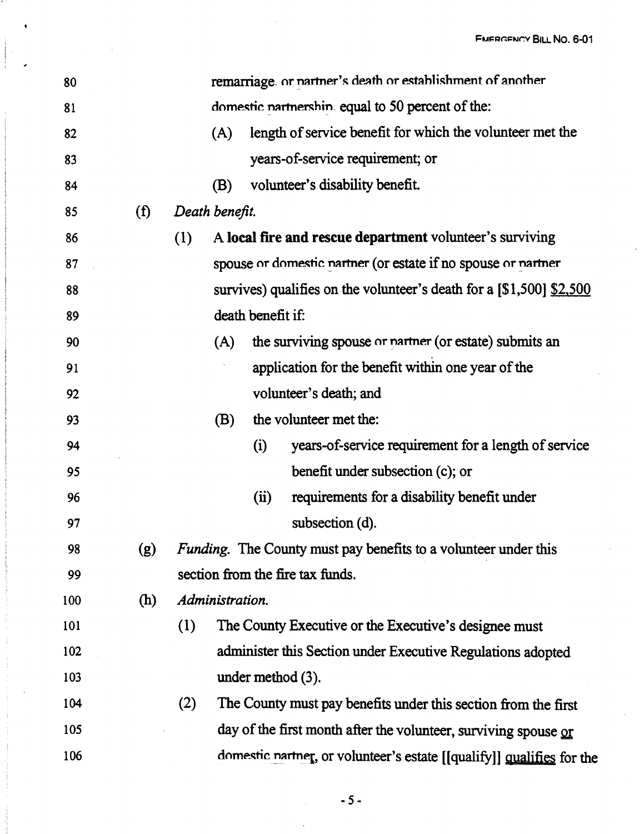| 80  |     |                |                                                   |                                                       | remarriage. or nartner's death or establishment of another              |  |  |
|-----|-----|----------------|---------------------------------------------------|-------------------------------------------------------|-------------------------------------------------------------------------|--|--|
| 81  |     |                | domestic nartnershin. equal to 50 percent of the: |                                                       |                                                                         |  |  |
| 82  |     |                | (A)                                               |                                                       | length of service benefit for which the volunteer met the               |  |  |
| 83  |     |                |                                                   |                                                       | years-of-service requirement; or                                        |  |  |
| 84  |     |                | (B)                                               |                                                       | volunteer's disability benefit.                                         |  |  |
| 85  | (f) | Death benefit. |                                                   |                                                       |                                                                         |  |  |
| 86  |     | (1)            |                                                   |                                                       | A local fire and rescue department volunteer's surviving                |  |  |
| 87  |     |                |                                                   |                                                       | spouse or domestic nartner (or estate if no spouse or nartner           |  |  |
| 88  |     |                |                                                   |                                                       | survives) qualifies on the volunteer's death for a $[$1,500]$ $$2,500$  |  |  |
| 89  |     |                |                                                   | death benefit if:                                     |                                                                         |  |  |
| 90  |     |                | (A)                                               | the surviving spouse or narmer (or estate) submits an |                                                                         |  |  |
| 91  |     |                |                                                   | application for the benefit within one year of the    |                                                                         |  |  |
| 92  |     |                |                                                   |                                                       | volunteer's death; and                                                  |  |  |
| 93  |     |                | (B)                                               |                                                       | the volunteer met the:                                                  |  |  |
| 94  |     |                |                                                   | (i)                                                   | years-of-service requirement for a length of service                    |  |  |
| 95  |     |                |                                                   |                                                       | benefit under subsection (c); or                                        |  |  |
| 96  |     |                |                                                   | (ii)                                                  | requirements for a disability benefit under                             |  |  |
| 97  |     |                |                                                   |                                                       | subsection (d).                                                         |  |  |
| 98  | (g) |                |                                                   |                                                       | <i>Funding</i> . The County must pay benefits to a volunteer under this |  |  |
| 99  |     |                |                                                   |                                                       | section from the fire tax funds.                                        |  |  |
| 100 | (h) |                | Administration.                                   |                                                       |                                                                         |  |  |
| 101 |     | (1)            |                                                   |                                                       | The County Executive or the Executive's designee must                   |  |  |
| 102 |     |                |                                                   |                                                       | administer this Section under Executive Regulations adopted             |  |  |
| 103 |     |                |                                                   |                                                       | under method $(3)$ .                                                    |  |  |
| 104 |     | (2)            |                                                   |                                                       | The County must pay benefits under this section from the first          |  |  |
| 105 |     |                |                                                   |                                                       | day of the first month after the volunteer, surviving spouse or         |  |  |
| 106 |     |                |                                                   |                                                       | domestic nartner, or volunteer's estate [[qualify]] qualifies for the   |  |  |

 $-5 -$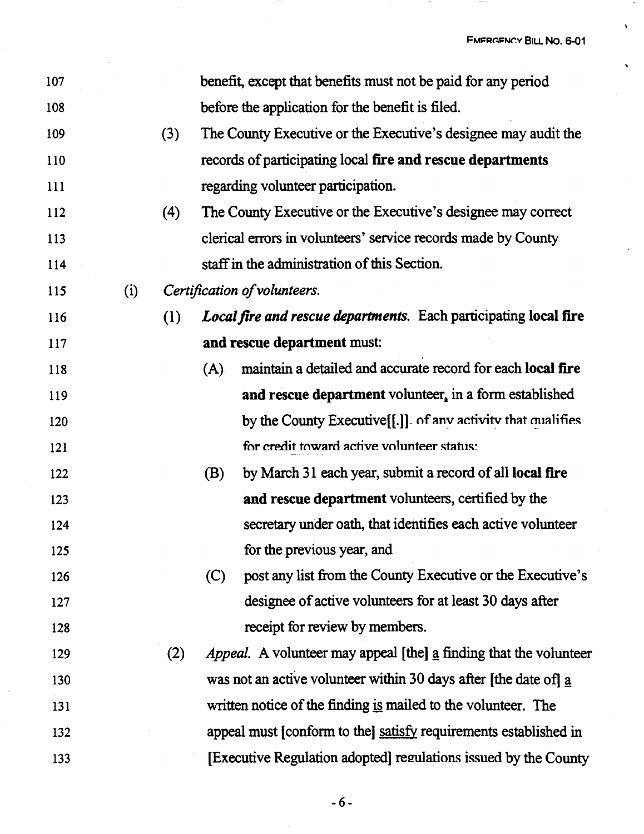FMERGENCY BILL NO. 6-01

 $\ddot{\phantom{0}}$ 

| 107 |     |     |     | benefit, except that benefits must not be paid for any period            |
|-----|-----|-----|-----|--------------------------------------------------------------------------|
| 108 |     |     |     | before the application for the benefit is filed.                         |
| 109 |     | (3) |     | The County Executive or the Executive's designee may audit the           |
| 110 |     |     |     | records of participating local fire and rescue departments               |
| 111 |     |     |     | regarding volunteer participation.                                       |
| 112 |     | (4) |     | The County Executive or the Executive's designee may correct             |
| 113 |     |     |     | clerical errors in volunteers' service records made by County            |
| 114 |     |     |     | staff in the administration of this Section.                             |
| 115 | (i) |     |     | Certification of volunteers.                                             |
| 116 |     | (1) |     | Local fire and rescue departments. Each participating local fire         |
| 117 |     |     |     | and rescue department must:                                              |
| 118 |     |     | (A) | maintain a detailed and accurate record for each local fire              |
| 119 |     |     |     | and rescue department volunteer, in a form established                   |
| 120 |     |     |     | by the County Executive [[.]] of any activity that qualifies             |
| 121 |     |     |     | for credit toward active volunteer status:                               |
| 122 |     |     | (B) | by March 31 each year, submit a record of all local fire                 |
| 123 |     |     |     | and rescue department volunteers, certified by the                       |
| 124 |     |     |     | secretary under oath, that identifies each active volunteer              |
| 125 |     |     |     | for the previous year, and                                               |
| 126 |     |     | (C) | post any list from the County Executive or the Executive's               |
| 127 |     |     |     | designee of active volunteers for at least 30 days after                 |
| 128 |     |     |     | receipt for review by members.                                           |
| 129 |     | (2) |     | <i>Appeal.</i> A volunteer may appeal [the] a finding that the volunteer |
| 130 |     |     |     | was not an active volunteer within 30 days after [the date of] a         |
| 131 |     |     |     | written notice of the finding is mailed to the volunteer. The            |
| 132 |     |     |     | appeal must (conform to the) satisfy requirements established in         |
| 133 |     |     |     | [Executive Regulation adopted] regulations issued by the County          |

-6-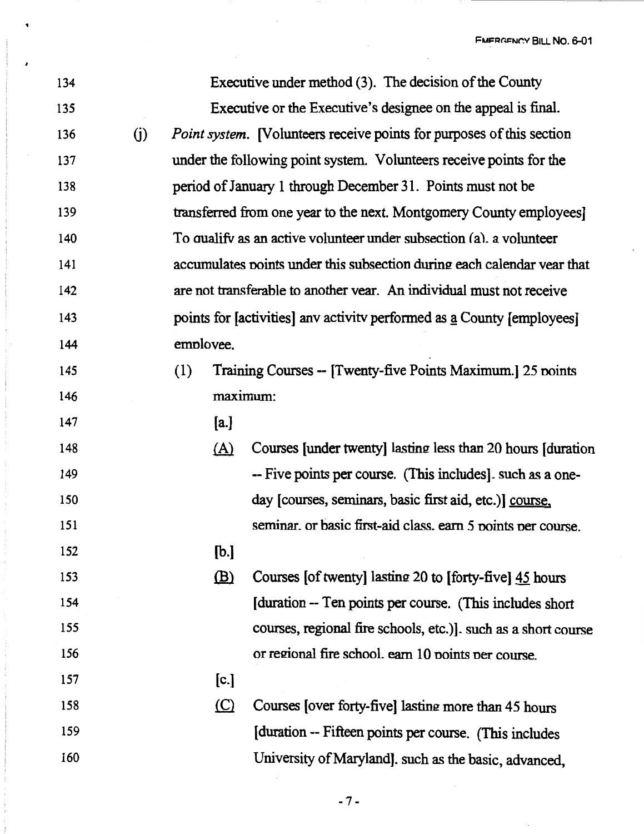FMERGENCY BILL NO. 6-01

 $\hat{\mathcal{L}}$ 

| 134 |     |           |                                                                              | Executive under method (3). The decision of the County                  |  |  |  |  |  |
|-----|-----|-----------|------------------------------------------------------------------------------|-------------------------------------------------------------------------|--|--|--|--|--|
| 135 |     |           | Executive or the Executive's designee on the appeal is final.                |                                                                         |  |  |  |  |  |
| 136 | (j) |           | <i>Point system.</i> [Volunteers receive points for purposes of this section |                                                                         |  |  |  |  |  |
| 137 |     |           | under the following point system. Volunteers receive points for the          |                                                                         |  |  |  |  |  |
| 138 |     |           | period of January 1 through December 31. Points must not be                  |                                                                         |  |  |  |  |  |
| 139 |     |           |                                                                              | transferred from one year to the next. Montgomery County employees]     |  |  |  |  |  |
| 140 |     |           |                                                                              | To qualify as an active volunteer under subsection (a), a volunteer     |  |  |  |  |  |
| 141 |     |           |                                                                              | accumulates points under this subsection during each calendar vear that |  |  |  |  |  |
| 142 |     |           |                                                                              | are not transferable to another vear. An individual must not receive    |  |  |  |  |  |
| 143 |     |           |                                                                              | points for [activities] any activity performed as a County [employees]  |  |  |  |  |  |
| 144 |     | emplovee. |                                                                              |                                                                         |  |  |  |  |  |
| 145 |     | (1)       |                                                                              | Training Courses -- [Twenty-five Points Maximum.] 25 points             |  |  |  |  |  |
| 146 |     |           | maximum:                                                                     |                                                                         |  |  |  |  |  |
| 147 |     |           | [a.]                                                                         |                                                                         |  |  |  |  |  |
| 148 |     |           | <u>(A)</u>                                                                   | Courses [under twenty] lasting less than 20 hours [duration]            |  |  |  |  |  |
| 149 |     |           |                                                                              | -- Five points per course. (This includes). such as a one-              |  |  |  |  |  |
| 150 |     |           |                                                                              | day [courses, seminars, basic first aid, etc.)] course,                 |  |  |  |  |  |
| 151 |     |           |                                                                              | seminar, or basic first-aid class, earn 5 points per course.            |  |  |  |  |  |
| 152 |     |           | [b.]                                                                         |                                                                         |  |  |  |  |  |
| 153 |     |           | $\mathbf{B}$                                                                 | Courses [of twenty] lasting 20 to [forty-five] 45 hours                 |  |  |  |  |  |
| 154 |     |           |                                                                              | (duration -- Ten points per course. (This includes short)               |  |  |  |  |  |
| 155 |     |           |                                                                              | courses, regional fire schools, etc.)]. such as a short course          |  |  |  |  |  |
| 156 |     |           |                                                                              | or regional fire school, earn 10 points per course.                     |  |  |  |  |  |
| 157 |     |           | [c.]                                                                         |                                                                         |  |  |  |  |  |
| 158 |     |           | $\circ$                                                                      | Courses [over forty-five] lasting more than 45 hours                    |  |  |  |  |  |
| 159 |     |           |                                                                              | [duration -- Fifteen points per course. (This includes                  |  |  |  |  |  |
| 160 |     |           |                                                                              | University of Maryland]. such as the basic, advanced,                   |  |  |  |  |  |

 $\overline{\phantom{a}}$ 

-7-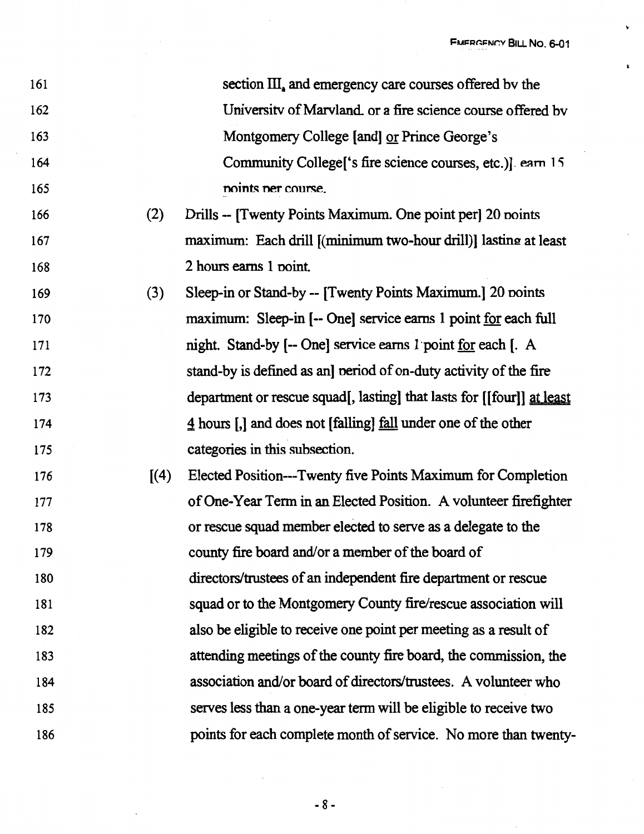$\ddot{\mathbf{v}}$ 

 $\bar{\mathbf{t}}$ 

 $\bar{z}$ 

| 161 |       | section III, and emergency care courses offered by the                 |
|-----|-------|------------------------------------------------------------------------|
| 162 |       | University of Maryland, or a fire science course offered by            |
| 163 |       | Montgomery College [and] or Prince George's                            |
| 164 |       | Community College ['s fire science courses, etc.)]. earn 15            |
| 165 |       | noints ner course.                                                     |
| 166 | (2)   | Drills -- [Twenty Points Maximum. One point per] 20 points             |
| 167 |       | maximum: Each drill [(minimum two-hour drill)] lasting at least        |
| 168 |       | 2 hours earns 1 point.                                                 |
| 169 | (3)   | Sleep-in or Stand-by -- [Twenty Points Maximum.] 20 points             |
| 170 |       | maximum: Sleep-in [-- One] service earns 1 point for each full         |
| 171 |       | night. Stand-by [-- One] service earns 1 point for each [. A           |
| 172 |       | stand-by is defined as an] period of on-duty activity of the fire      |
| 173 |       | department or rescue squad[, lasting] that lasts for [[four]] at least |
|     |       |                                                                        |
| 174 |       | 4 hours [,] and does not [falling] <u>fall</u> under one of the other  |
| 175 |       | categories in this subsection.                                         |
| 176 | [(4)] | Elected Position---Twenty five Points Maximum for Completion           |
| 177 |       | of One-Year Term in an Elected Position. A volunteer firefighter       |
| 178 |       | or rescue squad member elected to serve as a delegate to the           |
| 179 |       | county fire board and/or a member of the board of                      |
| 180 |       | directors/trustees of an independent fire department or rescue         |
| 181 |       | squad or to the Montgomery County fire/rescue association will         |
| 182 |       | also be eligible to receive one point per meeting as a result of       |
| 183 |       | attending meetings of the county fire board, the commission, the       |
| 184 |       | association and/or board of directors/trustees. A volunteer who        |
| 185 |       | serves less than a one-year term will be eligible to receive two       |

 $\sim 10^{-1}$ 

 $- 8 -$ 

 $\sim$   $\sim$ 

 $\ddot{\phantom{a}}$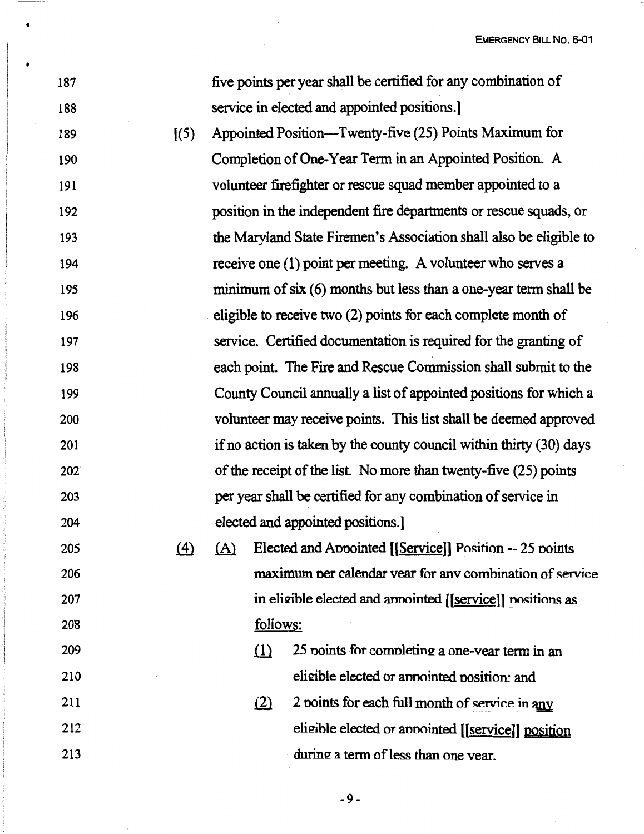EMERGENCY BILL NO. 6-01

| 187 |          | five points per year shall be certified for any combination of      |                                                                   |                                                                    |  |  |  |  |
|-----|----------|---------------------------------------------------------------------|-------------------------------------------------------------------|--------------------------------------------------------------------|--|--|--|--|
| 188 |          | service in elected and appointed positions.                         |                                                                   |                                                                    |  |  |  |  |
| 189 | (5)      |                                                                     | Appointed Position---Twenty-five (25) Points Maximum for          |                                                                    |  |  |  |  |
| 190 |          |                                                                     | Completion of One-Year Term in an Appointed Position. A           |                                                                    |  |  |  |  |
| 191 |          |                                                                     | volunteer firefighter or rescue squad member appointed to a       |                                                                    |  |  |  |  |
| 192 |          |                                                                     |                                                                   | position in the independent fire departments or rescue squads, or  |  |  |  |  |
| 193 |          |                                                                     |                                                                   | the Maryland State Firemen's Association shall also be eligible to |  |  |  |  |
| 194 |          |                                                                     |                                                                   | receive one (1) point per meeting. A volunteer who serves a        |  |  |  |  |
| 195 |          |                                                                     |                                                                   | minimum of six (6) months but less than a one-year term shall be   |  |  |  |  |
| 196 |          |                                                                     |                                                                   | eligible to receive two (2) points for each complete month of      |  |  |  |  |
| 197 |          |                                                                     |                                                                   | service. Certified documentation is required for the granting of   |  |  |  |  |
| 198 |          |                                                                     |                                                                   | each point. The Fire and Rescue Commission shall submit to the     |  |  |  |  |
| 199 |          |                                                                     | County Council annually a list of appointed positions for which a |                                                                    |  |  |  |  |
| 200 |          |                                                                     | volunteer may receive points. This list shall be deemed approved  |                                                                    |  |  |  |  |
| 201 |          | if no action is taken by the county council within thirty (30) days |                                                                   |                                                                    |  |  |  |  |
| 202 |          | of the receipt of the list. No more than twenty-five (25) points    |                                                                   |                                                                    |  |  |  |  |
| 203 |          | per year shall be certified for any combination of service in       |                                                                   |                                                                    |  |  |  |  |
| 204 |          | elected and appointed positions.]                                   |                                                                   |                                                                    |  |  |  |  |
| 205 | $\Delta$ | <u>(A)</u>                                                          |                                                                   | Elected and Appointed [[Service]] Position -- 25 points            |  |  |  |  |
| 206 |          | maximum per calendar year for any combination of service            |                                                                   |                                                                    |  |  |  |  |
| 207 |          | in eligible elected and appointed [[service]] positions as          |                                                                   |                                                                    |  |  |  |  |
| 208 |          | follows:                                                            |                                                                   |                                                                    |  |  |  |  |
| 209 |          |                                                                     | $\Omega$                                                          | 25 points for completing a one-vear term in an                     |  |  |  |  |
| 210 |          |                                                                     |                                                                   | eligible elected or appointed position: and                        |  |  |  |  |
| 211 |          |                                                                     | (2)                                                               | 2 points for each full month of service in any                     |  |  |  |  |
| 212 |          |                                                                     |                                                                   | eligible elected or appointed [[service]] position                 |  |  |  |  |
| 213 |          |                                                                     |                                                                   | during a term of less than one year.                               |  |  |  |  |

 $\frac{1}{2} \frac{1}{2} \frac{d^2}{dx^2}$ 

•

 $\bullet$ 

 $\bar{\beta}$ 

 $\overline{\phantom{a}}$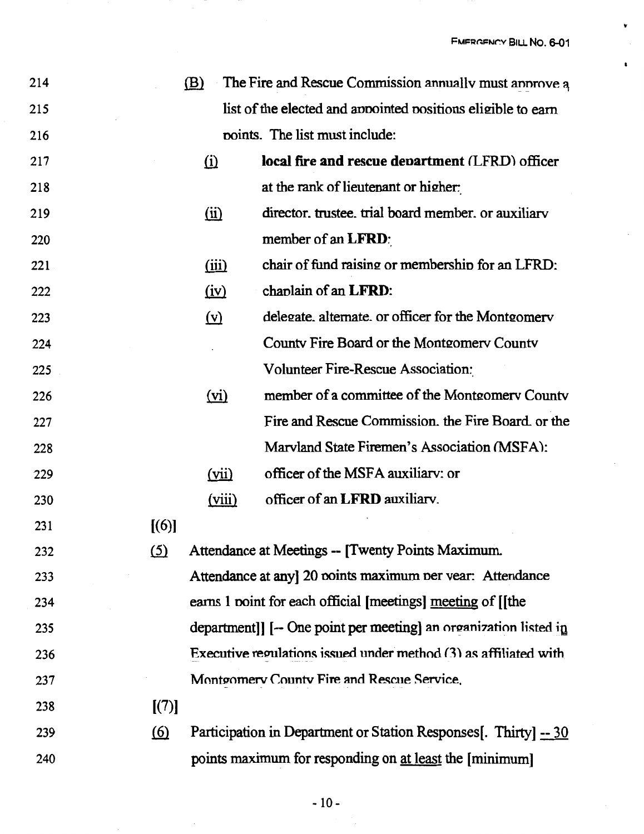k,

 $\pmb{\mathsf{t}}$ 

| 214 |            | <u>(B)</u>        | The Fire and Rescue Commission annually must annove a             |
|-----|------------|-------------------|-------------------------------------------------------------------|
| 215 |            |                   | list of the elected and appointed positions eligible to earn      |
| 216 |            |                   | points. The list must include:                                    |
| 217 |            | $\Omega$          | local fire and rescue department (LFRD) officer                   |
| 218 |            |                   | at the rank of lieutenant or higher:                              |
| 219 |            | $\overline{11}$   | director, trustee, trial board member, or auxiliary               |
| 220 |            |                   | member of an LFRD:                                                |
| 221 |            | (iii)             | chair of fund raising or membership for an LFRD:                  |
| 222 |            | <u>(iv)</u>       | chaplain of an LFRD:                                              |
| 223 |            | $(\underline{v})$ | delegate, alternate, or officer for the Montgomery                |
| 224 |            |                   | County Fire Board or the Montgomery County                        |
| 225 |            |                   | Volunteer Fire-Rescue Association:                                |
| 226 |            | (vi)              | member of a committee of the Montgomery County                    |
| 227 |            |                   | Fire and Rescue Commission, the Fire Board, or the                |
| 228 |            |                   | Marvland State Firemen's Association (MSFA):                      |
| 229 |            | (iii)             | officer of the MSFA auxiliary: or                                 |
| 230 |            | (viii)            | officer of an LFRD auxiliary.                                     |
| 231 | [(6)]      |                   |                                                                   |
| 232 | <u>(5)</u> |                   | Attendance at Meetings -- [Twenty Points Maximum.                 |
| 233 |            |                   | Attendance at any] 20 points maximum per vear: Attendance         |
| 234 |            |                   | earns 1 point for each official [meetings] meeting of [[the       |
| 235 |            |                   | department]] [-- One point per meeting] an organization listed in |
| 236 |            |                   | Executive regulations issued under method (3) as affiliated with  |
| 237 |            |                   | Montgomery County Fire and Rescue Service.                        |
| 238 | [(7)]      |                   |                                                                   |
| 239 | <u>(6)</u> |                   | Participation in Department or Station Responses. Thirty. -- 30   |
| 240 |            |                   | points maximum for responding on at least the [minimum]           |
|     |            |                   |                                                                   |

 $\hat{\mathcal{A}}$ 

 $\bar{z}$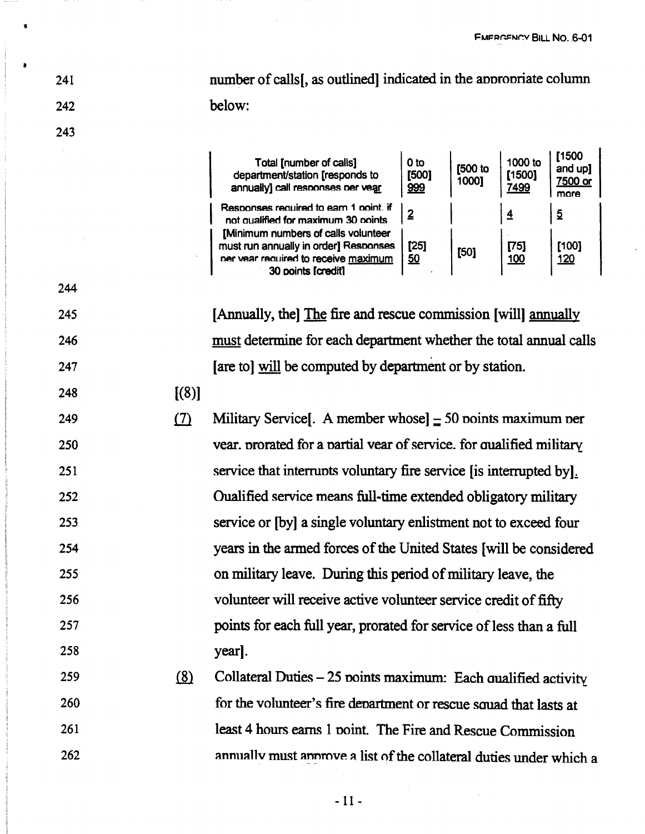number of calls [, as outlined] indicated in the appropriate column below:

244

245

246

247

248

249

250

251

252

253

254

255

256

257

258

241

242

| Total [number of calls]<br>department/station [responds to<br>annually] call responses per vear                                            | 0 <sub>to</sub><br>[500]<br>999 | [500 to<br>1000] | 1000 to<br>[1500]<br>7499 | [1500<br>and up]<br>7500 or<br>more |
|--------------------------------------------------------------------------------------------------------------------------------------------|---------------------------------|------------------|---------------------------|-------------------------------------|
| Responses required to earn 1 point. if<br>not qualified for maximum 30 points                                                              | 2                               |                  | $\overline{4}$            | $\overline{2}$                      |
| [Minimum numbers of calls volunteer<br>must run annually in order] Responses<br>ner vear required to receive maximum<br>30 points [credit] | [25]<br>50                      | [50]             | [75]<br>100               | [100]<br><u>120</u>                 |

[Annually, the] The fire and rescue commission [will] annually must determine for each department whether the total annual calls [are to] will be computed by department or by station.

 $[(8)]$ 

 $(7)$ Military Service [. A member whose]  $\pm$  50 points maximum per vear, prorated for a partial vear of service, for qualified military service that interrupts voluntary fire service (is interrupted by). Oualified service means full-time extended obligatory military service or [by] a single voluntary enlistment not to exceed four years in the armed forces of the United States [will be considered on military leave. During this period of military leave, the volunteer will receive active volunteer service credit of fifty points for each full year, prorated for service of less than a full year].

 $(8)$ Collateral Duties - 25 points maximum: Each qualified activity 259 for the volunteer's fire department or rescue squad that lasts at 260 least 4 hours earns 1 point. The Fire and Rescue Commission 261 annually must annoyee a list of the collateral duties under which a 262

 $-11-$